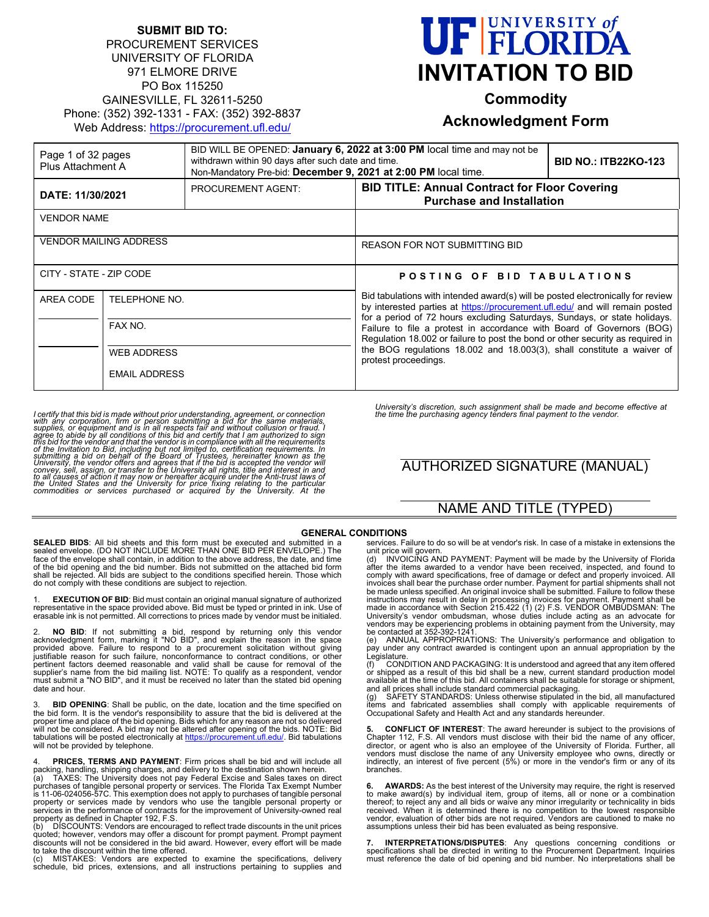### **SUBMIT BID TO:** PROCUREMENT SERVICES UNIVERSITY OF FLORIDA 971 ELMORE DRIVE PO Box 115250 GAINESVILLE, FL 32611-5250 Phone: (352) 392-1331 - FAX: (352) 392-8837 Web Address:<https://procurement.ufl.edu/>

# **FELORIDA INVITATION TO BID**

**Commodity**

## **Acknowledgment Form**

| Page 1 of 32 pages<br>Plus Attachment A |                                                | BID WILL BE OPENED: January 6, 2022 at 3:00 PM local time and may not be<br>withdrawn within 90 days after such date and time.<br>Non-Mandatory Pre-bid: December 9, 2021 at 2:00 PM local time. |                                                                                                                                                                                                                                                                                                                                                                                                                                                                                                           | <b>BID NO.: ITB22KO-123</b> |
|-----------------------------------------|------------------------------------------------|--------------------------------------------------------------------------------------------------------------------------------------------------------------------------------------------------|-----------------------------------------------------------------------------------------------------------------------------------------------------------------------------------------------------------------------------------------------------------------------------------------------------------------------------------------------------------------------------------------------------------------------------------------------------------------------------------------------------------|-----------------------------|
| DATE: 11/30/2021                        |                                                | <b>PROCUREMENT AGENT:</b>                                                                                                                                                                        | <b>BID TITLE: Annual Contract for Floor Covering</b><br><b>Purchase and Installation</b>                                                                                                                                                                                                                                                                                                                                                                                                                  |                             |
| <b>VENDOR NAME</b>                      |                                                |                                                                                                                                                                                                  |                                                                                                                                                                                                                                                                                                                                                                                                                                                                                                           |                             |
| <b>VENDOR MAILING ADDRESS</b>           |                                                |                                                                                                                                                                                                  | <b>REASON FOR NOT SUBMITTING BID</b>                                                                                                                                                                                                                                                                                                                                                                                                                                                                      |                             |
| CITY - STATE - ZIP CODE                 |                                                |                                                                                                                                                                                                  | POSTING OF BID TABULATIONS                                                                                                                                                                                                                                                                                                                                                                                                                                                                                |                             |
| AREA CODE                               | TELEPHONE NO.<br>FAX NO.<br><b>WEB ADDRESS</b> |                                                                                                                                                                                                  | Bid tabulations with intended award(s) will be posted electronically for review<br>by interested parties at https://procurement.ufl.edu/ and will remain posted<br>for a period of 72 hours excluding Saturdays, Sundays, or state holidays.<br>Failure to file a protest in accordance with Board of Governors (BOG)<br>Regulation 18.002 or failure to post the bond or other security as required in<br>the BOG regulations 18.002 and 18.003(3), shall constitute a waiver of<br>protest proceedings. |                             |
|                                         |                                                |                                                                                                                                                                                                  |                                                                                                                                                                                                                                                                                                                                                                                                                                                                                                           |                             |
|                                         |                                                |                                                                                                                                                                                                  |                                                                                                                                                                                                                                                                                                                                                                                                                                                                                                           |                             |
|                                         | <b>EMAIL ADDRESS</b>                           |                                                                                                                                                                                                  |                                                                                                                                                                                                                                                                                                                                                                                                                                                                                                           |                             |

I certify that this bid is made without prior understanding, agreement, or connection<br>with any corporation, firm or person submitting a bid for the same materials,<br>supplies, or equipment and is in all respects fair and wit

*University's discretion, such assignment shall be made and become effective at the time the purchasing agency tenders final payment to the vendor.*

# AUTHORIZED SIGNATURE (MANUAL)

# NAME AND TITLE (TYPED)

**SEALED BIDS**: All bid sheets and this form must be executed and submitted in a sealed envelope. (DO NOT INCLUDE MORE THAN ONE BID PER ENVELOPE.) The face of the envelope shall contain, in addition to the above address, the date, and time of the bid opening and the bid number. Bids not submitted on the attached bid form shall be rejected. All bids are subject to the conditions specified herein. Those which do not comply with these conditions are subject to rejection.

1. **EXECUTION OF BID**: Bid must contain an original manual signature of authorized representative in the space provided above. Bid must be typed or printed in ink. Use of erasable ink is not permitted. All corrections to prices made by vendor must be initialed.

2. **NO BID**: If not submitting a bid, respond by returning only this vendor acknowledgment form, marking it "NO BID", and explain the reason in the space provided above. Failure to respond to a procurement solicitation wit date and hour.

3. **BID OPENING**: Shall be public, on the date, location and the time specified on the bid form. It is the vendor's responsibility to assure that the bid is delivered at the proper time and place of the bid opening. Bids which for any reason are not so delivered will not be considered. A bid may not be altered after opening of the bids. NOTE: Bid<br>tabulations will be posted electronically at <u>https://procurement.ufl.edu/</u>. Bid tabulations will not be provided by telephone.

4. **PRICES, TERMS AND PAYMENT**: Firm prices shall be bid and will include all

packing, handling, shipping charges, and delivery to the destination shown herein.<br>(a) TAXES: The University does not pay Federal Excise and Sales taxes on direct<br>purchases of tangible personal property or services. The Fl property as defined in Chapter 192, F.S.

(b)  $\;$  DISCOUNTS: Vendors are encouraged to reflect trade discounts in the unit prices<br>quoted; however, vendors may offer a discount for prompt payment. Prompt payment discounts will not be considered in the bid award. However, every effort will be made to take the discount within the time offered.<br>(c) MISTAKES: Vendors are expected.

(c) MISTAKES: Vendors are expected to examine the specifications, delivery schedule, bid prices, extensions, and all instructions pertaining to supplies and

GENERAL CONDITIONS<br>mitted in a services. Failure to do so will be at vendor's risk. In case of a mistake in extensions the

services. Failure to do so will be at vendor's risk. In case of a mistake in extensions the unit price will govern.<br>In price will govern (d) INVOICING AND PAYMENT: Payment will be made by the University of Florida<br>(d) INVO vendors may be experiencing problems in obtaining payment from the University, may<br>be contacted at 352-392-1241.<br>(e) ANNUAL APPROPRIATIONS: The University's performance and obligation to

pay under any contract awarded is contingent upon an annual appropriation by the Legislature. (f) CONDITION AND PACKAGING: It is understood and agreed that any item offered

or shipped as a result of this bid shall be a new, current standard production model<br>available at the time of this bid. All containers shall be suitable for storage or shipment,<br>and all prices shall include standard commer

(g) SAFETY STANDARDS: Unless otherwise stipulated in the bid, all manufactured<br>items and fabricated assemblies shall comply with applicable requirements of<br>Occupational Safety and Health Act and any standards he

**5. CONFLICT OF INTEREST**: The award hereunder is subject to the provisions of Chapter 112, F.S. All vendors must disclose with their bid the name of any officer, director, or agent who is also an employee of the University of Florida. Further, all vendors must disclose the name of any University employee who owns, directly or indirectly, an interest of five percent (5%) or more in the vendor's firm or any of its branches.

**6. AWARDS:** As the best interest of the University may require, the right is reserved to make award(s) by individual item, group of items, all or none or a combination thereof; to reject any and all bids or waive any minor irregularity or technicality in bids received. When it is determined there is no competition to the lowest responsible vendor, evaluation of other bids are not required. Vendors are cautioned to make no assumptions unless their bid has been evaluated as being responsive.

**7. INTERPRETATIONS/DISPUTES**: Any questions concerning conditions or<br>specifications shall be directed in writing to the Procurement Department. Inquiries<br>must reference the date of bid opening and bid number. No interpret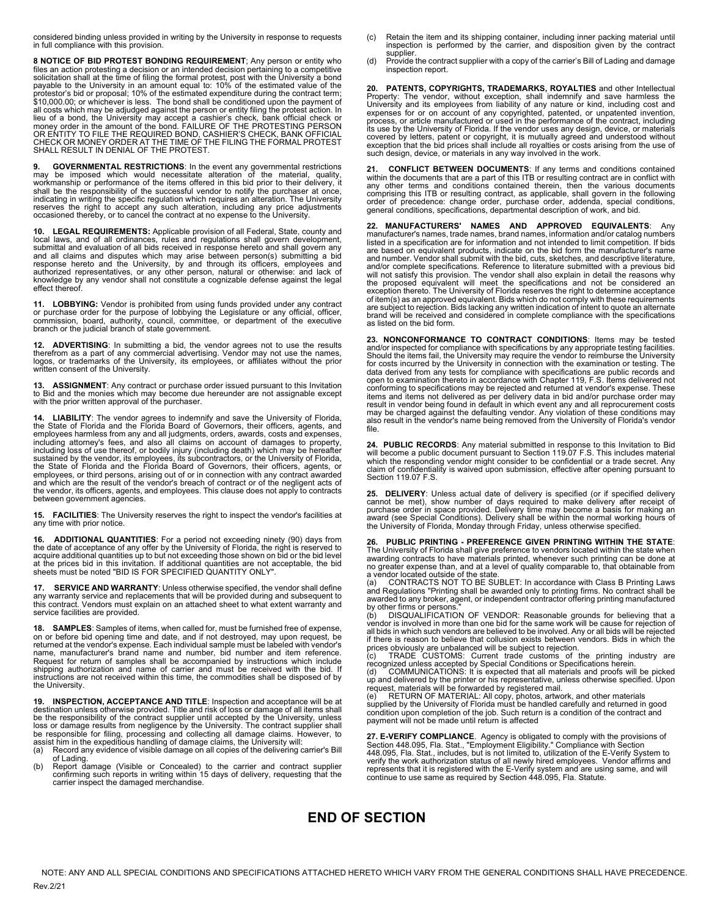considered binding unless provided in writing by the University in response to requests in full compliance with this provision.

**8 NOTICE OF BID PROTEST BONDING REQUIREMENT**; Any person or entity who files an action protesting a decision or an intended decision pertaining to a competitive solicitation shall at the time of filing the formal protest, post with the University a bond payable to the University in an amount equal to: 10% of the estimated value of the protestor's bid or proposal; 10% of the estimated expenditure during the contract term; \$10,000.00; or whichever is less. The bond shall be conditioned upon the payment of all costs which may be adjudged against the person or entity filing the protest action. In<br>lieu of a bond, the University may accept a cashier's check, bank official check or<br>money order in the amount of the bond. FAILURE SHALL RESULT IN DENIAL OF THE PROTEST.

**9. GOVERNMENTAL RESTRICTIONS:** In the event any governmental restrictions may be imposed which would necessitate alteration of the material, quality, workmanship or performance of the items offered in this bid prior to th

**10. LEGAL REQUIREMENTS:** Applicable provision of all Federal, State, county and local laws, and of all ordinances, rules and regulations shall govern development, submittal and evaluation of all bids received in response hereto and shall govern any submittal and evaluation of all bids received in response hereto and shall govern any and all claims and disputes which may arise between person(s) submitting a bid response hereto and the University, by and through its of

11. LOBBYING: Vendor is prohibited from using funds provided under any contract<br>or purchase order for the purpose of lobbying the Legislature or any official, officer,<br>commission, board, authority, council, committee, or d

**12. ADVERTISING**: In submitting a bid, the vendor agrees not to use the results therefrom as a part of any commercial advertising. Vendor may not use the names, logos, or trademarks of the University, its employees, or affiliates without the prior written consent of the University.

**13. ASSIGNMENT**: Any contract or purchase order issued pursuant to this Invitation to Bid and the monies which may become due hereunder are not assignable except with the prior written approval of the purchaser.

**14. LIABILITY**: The vendor agrees to indemnify and save the University of Florida,<br>the State of Florida and the Florida Board of Governors, their officers, agents, and<br>employees harmless from any and all judgments, orders including attorney's fees, and also all claims on account of damages to property,<br>including loss of use thereof, or bodily injury (including death) which may be hereafter<br>sustained by the vendor, its employees, its subcont the State of Florida and the Florida Board of Governors, their officers, agents, or<br>employees, or third persons, arising out of or in connection with any contract awarded<br>and which are the result of the vendor's breach of the vendor, its officers, agents, and employees. This clause does not apply to contracts between government agencies.

**15. FACILITIES**: The University reserves the right to inspect the vendor's facilities at any time with prior notice.

**16. ADDITIONAL QUANTITIES**: For a period not exceeding ninety (90) days from the date of acceptance of any offer by the University of Florida, the right is reserved to acquire additional quantities up to but not exceeding those shown on bid or the bid level at the prices bid in this invitation. If additional quantities are not acceptable, the bid sheets must be noted "BID IS FOR SPECIFIED QUANTITY ONLY".

**17. SERVICE AND WARRANTY**: Unless otherwise specified, the vendor shall define<br>any warranty service and replacements that will be provided during and subsequent to<br>this contract. Vendors must explain on an attached sh service facilities are provided.

**18. SAMPLES**: Samples of items, when called for, must be furnished free of expense, on or before bid opening time and date, and if not destroyed, may upon request, be returned at the vendor's expense. Each individual sample must be labeled with vendor's name, manufacturer's brand name and number, bid number and item reference.<br>Request for return of samples shall be accompanied by instructions which include<br>shipping authorization and name of carrier and must be received wi instructions are not received within this time, the commodities shall be disposed of by the University.

**19. INSPECTION, ACCEPTANCE AND TITLE:** Inspection and acceptance will be at destination unless otherwise provided. Title and risk of loss or damage of all items shahl be the responsibility of the contract supplier until a

- 
- of Lading. (b) Report damage (Visible or Concealed) to the carrier and contract supplier confirming such reports in writing within 15 days of delivery, requesting that the carrier inspect the damaged merchandise.
- (c) Retain the item and its shipping container, including inner packing material until inspection is performed by the carrier, and disposition given by the contract supplier
- (d) Provide the contract supplier with a copy of the carrier's Bill of Lading and damage inspection report.

**20. PATENTS, COPYRIGHTS, TRADEMARKS, ROYALTIES** and other Intellectual<br>Property: The vendor, without exception, shall indemnify and save harmless the<br>University and its employees from liability of any nature or kind, incl expenses for or on account of any copyrighted, patented, or unpatented invention, process, or article manufactured or used in the performance of the contract, including its use by the University of Florida. If the vendor uses any design, device, or materials covered by letters, patent or copyright, it is mutually agreed and understood without exception that the bid prices shall include all royalties or costs arising from the use of such design, device, or materials in any way involved in the work.

**21. CONFLICT BETWEEN DOCUMENTS**: If any terms and conditions contained within the documents that are a part of this ITB or resulting contract are in conflict with<br>any other terms and conditions contained therein, then the various documents<br>comprising this ITB or resulting contract, as applica general conditions, specifications, departmental description of work, and bid.

**22. MANUFACTURERS' NAMES AND APPROVED EQUIVALENTS**: Any manufacturer's names, trade names, brand names, information and/or catalog numbers listed in a specification are for information and not intended to limit competition. If bids are based on equivalent products, indicate on the bid form the manufacturer's name and number. Vendor shall submit with the bid, cuts, sketches, and descriptive literature,<br>and/or complete specifications. Reference to literature submitted with a previous bid will not satisfy this provision. The vendor shall also explain in detail the reasons why<br>the proposed equivalent will meet the specifications and not be considered an<br>exception thereto. The University of Florida of item(s) as an approved equivalent. Bids which do not comply with these requirements are subject to rejection. Bids lacking any written indication of intent to quote an alternate brand will be received and considered in complete compliance with the specifications as listed on the bid form.

**23. NONCONFORMANCE TO CONTRACT CONDITIONS**: Items may be tested and/or inspected for compliance with specifications by any appropriate testing facilities.<br>Should the items fail, the University may require the vendor to reimburse the University<br>for costs incurred by the University in co data derived from any tests for compliance with specifications are public records and<br>open to examination thereto in accordance with Chapter 119, F.S. Items delivered not<br>conforming to specifications may be rejected and re items and items not delivered as per delivery data in bid and/or purchase order may<br>result in vendor being found in default in which event any and all reprocurement costs<br>may be charged against the defaulting vendor. Any v also result in the vendor's name being removed from the University of Florida's vendor file.

**24. PUBLIC RECORDS**: Any material submitted in response to this Invitation to Bid will become a public document pursuant to Section 119.07 F.S. This includes material which the responding vendor might consider to be confidential or a trade secret. Any claim of confidentiality is waived upon submission, effective after opening pursuant to Section 119.07 F.S.

25. DELIVERY: Unless actual date of delivery is specified (or if specified delivery cannot be met), show number of days required to make delivery after receipt of purchase order in space provided. Delivery time may become

**26. PUBLIC PRINTING - PREFERENCE GIVEN PRINTING WITHIN THE STATE**: The University of Florida shall give preference to vendors located within the state when awarding contracts to have materials printed, whenever such printing can be done at no greater expense than, and at a level of quality comparable to, that obtainable from a vendor located outside of the state.

(a) CONTRACTS NOT TO BE SUBLET: In accordance with Class B Printing Laws<br>and Regulations "Printing shall be awarded only to printing firms. No contract shall be<br>awarded to any broker, agent, or independent contractor offe

by other firms or persons."<br>(b) DISQUALIFICATION OF VENDOR: Reasonable grounds for believing that a<br>vendor is involved in more than one bid for the same work will be cause for rejection of all bids in which such vendors are believed to be involved. Any or all bids will be rejected if there is reason to believe that collusion exists between vendors. Bids in which the

prices obviously are unbalanced will be subject to rejection.<br>(c) TRADE CUSTOMS: Current trade customs of the printing industry are<br>recognized unless accepted by Special Conditions or Specifications herein.<br>(d) COMMUNICA

up and delivered by the printer or his representative, unless otherwise specified. Upon<br>request, materials will be forwarded by registered mail.<br>(e) RETURN OF MATERIAL: All copy, photos, artwork, and other materials<br>suppl

condition upon completion of the job. Such return is a condition of the contract and payment will not be made until return is affected

**27. E-VERIFY COMPLIANCE**. Agency is obligated to comply with the provisions of<br>Section 448.095, Fla. Stat., "Employment Eligibility." Compliance with Section<br>448.095, Fla. Stat., includes, but is not limited to, utilizat verify the work authorization status of all newly hired employees. Vendor affirms and<br>represents that it is registered with the E-Verify system and are using same, and will<br>continue to use same as required by Section 448.

## **END OF SECTION**